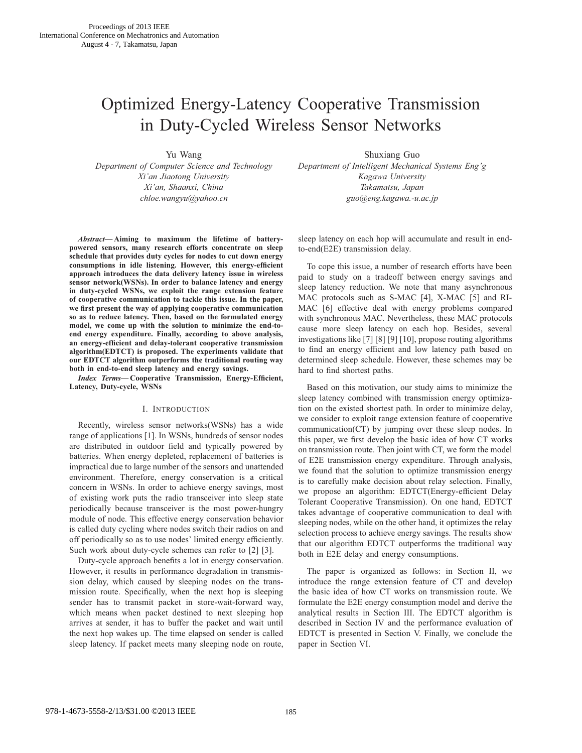# Optimized Energy-Latency Cooperative Transmission in Duty-Cycled Wireless Sensor Networks

Yu Wang

*Department of Computer Science and Technology Xi'an Jiaotong University Xi'an, Shaanxi, China chloe.wangyu@yahoo.cn*

*Abstract***— Aiming to maximum the lifetime of batterypowered sensors, many research efforts concentrate on sleep schedule that provides duty cycles for nodes to cut down energy consumptions in idle listening. However, this energy-efficient approach introduces the data delivery latency issue in wireless sensor network(WSNs). In order to balance latency and energy in duty-cycled WSNs, we exploit the range extension feature of cooperative communication to tackle this issue. In the paper, we first present the way of applying cooperative communication so as to reduce latency. Then, based on the formulated energy model, we come up with the solution to minimize the end-toend energy expenditure. Finally, according to above analysis, an energy-efficient and delay-tolerant cooperative transmission algorithm(EDTCT) is proposed. The experiments validate that our EDTCT algorithm outperforms the traditional routing way both in end-to-end sleep latency and energy savings.**

*Index Terms***— Cooperative Transmission, Energy-Efficient, Latency, Duty-cycle, WSNs**

#### I. INTRODUCTION

Recently, wireless sensor networks(WSNs) has a wide range of applications [1]. In WSNs, hundreds of sensor nodes are distributed in outdoor field and typically powered by batteries. When energy depleted, replacement of batteries is impractical due to large number of the sensors and unattended environment. Therefore, energy conservation is a critical concern in WSNs. In order to achieve energy savings, most of existing work puts the radio transceiver into sleep state periodically because transceiver is the most power-hungry module of node. This effective energy conservation behavior is called duty cycling where nodes switch their radios on and off periodically so as to use nodes' limited energy efficiently. Such work about duty-cycle schemes can refer to [2] [3].

Duty-cycle approach benefits a lot in energy conservation. However, it results in performance degradation in transmission delay, which caused by sleeping nodes on the transmission route. Specifically, when the next hop is sleeping sender has to transmit packet in store-wait-forward way, which means when packet destined to next sleeping hop arrives at sender, it has to buffer the packet and wait until the next hop wakes up. The time elapsed on sender is called sleep latency. If packet meets many sleeping node on route,

Shuxiang Guo *Department of Intelligent Mechanical Systems Eng'g Kagawa University Takamatsu, Japan guo@eng.kagawa.-u.ac.jp*

sleep latency on each hop will accumulate and result in endto-end(E2E) transmission delay.

To cope this issue, a number of research efforts have been paid to study on a tradeoff between energy savings and sleep latency reduction. We note that many asynchronous MAC protocols such as S-MAC [4], X-MAC [5] and RI-MAC [6] effective deal with energy problems compared with synchronous MAC. Nevertheless, these MAC protocols cause more sleep latency on each hop. Besides, several investigations like [7] [8] [9] [10], propose routing algorithms to find an energy efficient and low latency path based on determined sleep schedule. However, these schemes may be hard to find shortest paths.

Based on this motivation, our study aims to minimize the sleep latency combined with transmission energy optimization on the existed shortest path. In order to minimize delay, we consider to exploit range extension feature of cooperative communication(CT) by jumping over these sleep nodes. In this paper, we first develop the basic idea of how CT works on transmission route. Then joint with CT, we form the model of E2E transmission energy expenditure. Through analysis, we found that the solution to optimize transmission energy is to carefully make decision about relay selection. Finally, we propose an algorithm: EDTCT(Energy-efficient Delay Tolerant Cooperative Transmission). On one hand, EDTCT takes advantage of cooperative communication to deal with sleeping nodes, while on the other hand, it optimizes the relay selection process to achieve energy savings. The results show that our algorithm EDTCT outperforms the traditional way both in E2E delay and energy consumptions.

The paper is organized as follows: in Section II, we introduce the range extension feature of CT and develop the basic idea of how CT works on transmission route. We formulate the E2E energy consumption model and derive the analytical results in Section III. The EDTCT algorithm is described in Section IV and the performance evaluation of EDTCT is presented in Section V. Finally, we conclude the paper in Section VI.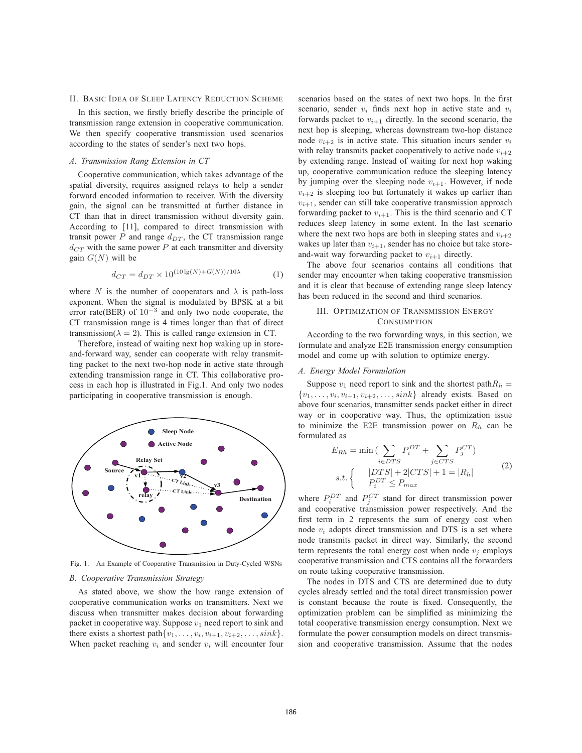## II. BASIC IDEA OF SLEEP LATENCY REDUCTION SCHEME

In this section, we firstly briefly describe the principle of transmission range extension in cooperative communication. We then specify cooperative transmission used scenarios according to the states of sender's next two hops.

# *A. Transmission Rang Extension in CT*

Cooperative communication, which takes advantage of the spatial diversity, requires assigned relays to help a sender forward encoded information to receiver. With the diversity gain, the signal can be transmitted at further distance in CT than that in direct transmission without diversity gain. According to [11], compared to direct transmission with transit power P and range  $d_{DT}$ , the CT transmission range  $d_{CT}$  with the same power P at each transmitter and diversity gain  $G(N)$  will be

$$
d_{CT} = d_{DT} \times 10^{(10\lg(N) + G(N))/10\lambda} \tag{1}
$$

where N is the number of cooperators and  $\lambda$  is path-loss exponent. When the signal is modulated by BPSK at a bit error rate(BER) of  $10^{-3}$  and only two node cooperate, the CT transmission range is 4 times longer than that of direct transmission( $\lambda = 2$ ). This is called range extension in CT.

Therefore, instead of waiting next hop waking up in storeand-forward way, sender can cooperate with relay transmitting packet to the next two-hop node in active state through extending transmission range in CT. This collaborative process in each hop is illustrated in Fig.1. And only two nodes participating in cooperative transmission is enough.



Fig. 1. An Example of Cooperative Transmission in Duty-Cycled WSNs

# *B. Cooperative Transmission Strategy*

As stated above, we show the how range extension of cooperative communication works on transmitters. Next we discuss when transmitter makes decision about forwarding packet in cooperative way. Suppose  $v_1$  need report to sink and there exists a shortest path $\{v_1, \ldots, v_i, v_{i+1}, v_{i+2}, \ldots, sink\}.$ When packet reaching  $v_i$  and sender  $v_i$  will encounter four

scenarios based on the states of next two hops. In the first scenario, sender  $v_i$  finds next hop in active state and  $v_i$ forwards packet to  $v_{i+1}$  directly. In the second scenario, the next hop is sleeping, whereas downstream two-hop distance node  $v_{i+2}$  is in active state. This situation incurs sender  $v_i$ with relay transmits packet cooperatively to active node  $v_{i+2}$ by extending range. Instead of waiting for next hop waking up, cooperative communication reduce the sleeping latency by jumping over the sleeping node  $v_{i+1}$ . However, if node  $v_{i+2}$  is sleeping too but fortunately it wakes up earlier than  $v_{i+1}$ , sender can still take cooperative transmission approach forwarding packet to  $v_{i+1}$ . This is the third scenario and CT reduces sleep latency in some extent. In the last scenario where the next two hops are both in sleeping states and  $v_{i+2}$ wakes up later than  $v_{i+1}$ , sender has no choice but take storeand-wait way forwarding packet to  $v_{i+1}$  directly.

The above four scenarios contains all conditions that sender may encounter when taking cooperative transmission and it is clear that because of extending range sleep latency has been reduced in the second and third scenarios.

# III. OPTIMIZATION OF TRANSMISSION ENERGY **CONSUMPTION**

According to the two forwarding ways, in this section, we formulate and analyze E2E transmission energy consumption model and come up with solution to optimize energy.

#### *A. Energy Model Formulation*

Suppose  $v_1$  need report to sink and the shortest path $R_h$  =  $\{v_1,\ldots,v_i,v_{i+1},v_{i+2},\ldots,sink\}$  already exists. Based on above four scenarios, transmitter sends packet either in direct way or in cooperative way. Thus, the optimization issue to minimize the E2E transmission power on  $R<sub>h</sub>$  can be formulated as

$$
E_{Rh} = \min\left(\sum_{i \in DTS} P_i^{DT} + \sum_{j \in CTS} P_j^{CT}\right)
$$
  
s.t. 
$$
\begin{cases} |DTS| + 2|CTS| + 1 = |R_h| \\ P_i^{DT} \le P_{max} \end{cases}
$$
 (2)

where  $P_i^{DT}$  and  $P_i^{CT}$  stand for direct transmission power and cooperative transmission power respectively. And the first term in 2 represents the sum of energy cost when node  $v_i$  adopts direct transmission and DTS is a set where node transmits packet in direct way. Similarly, the second term represents the total energy cost when node  $v_i$  employs cooperative transmission and CTS contains all the forwarders on route taking cooperative transmission.

The nodes in DTS and CTS are determined due to duty cycles already settled and the total direct transmission power is constant because the route is fixed. Consequently, the optimization problem can be simplified as minimizing the total cooperative transmission energy consumption. Next we formulate the power consumption models on direct transmission and cooperative transmission. Assume that the nodes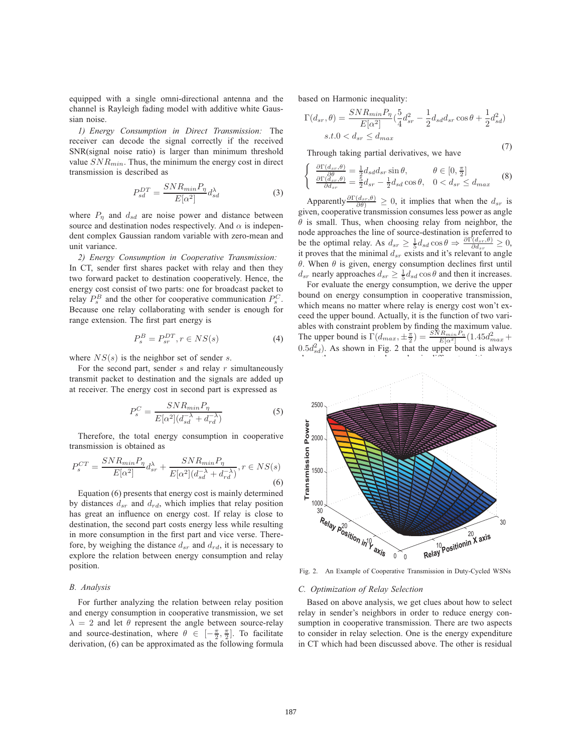equipped with a single omni-directional antenna and the channel is Rayleigh fading model with additive white Gaussian noise.

*1) Energy Consumption in Direct Transmission:* The receiver can decode the signal correctly if the received SNR(signal noise ratio) is larger than minimum threshold value  $SNR_{min}$ . Thus, the minimum the energy cost in direct transmission is described as

$$
P_{sd}^{DT} = \frac{SNR_{min}P_{\eta}}{E[\alpha^2]}d_{sd}^{\lambda}
$$
 (3)

where  $P_{\eta}$  and  $d_{sd}$  are noise power and distance between source and destination nodes respectively. And  $\alpha$  is independent complex Gaussian random variable with zero-mean and unit variance.

*2) Energy Consumption in Cooperative Transmission:* In CT, sender first shares packet with relay and then they two forward packet to destination cooperatively. Hence, the energy cost consist of two parts: one for broadcast packet to relay  $P_s^B$  and the other for cooperative communication  $P_s^C$ . Because one relay collaborating with sender is enough for range extension. The first part energy is

$$
P_s^B = P_{sr}^{DT}, r \in NS(s)
$$
 (4)

where  $NS(s)$  is the neighbor set of sender s.

For the second part, sender  $s$  and relay  $r$  simultaneously transmit packet to destination and the signals are added up at receiver. The energy cost in second part is expressed as

$$
P_s^C = \frac{SNR_{min}P_\eta}{E[\alpha^2](d_{sd}^{-\lambda} + d_{rd}^{-\lambda})}
$$
(5)

Therefore, the total energy consumption in cooperative transmission is obtained as

$$
P_s^{CT} = \frac{SNR_{min}P_{\eta}}{E[\alpha^2]}d_{sr}^{\lambda} + \frac{SNR_{min}P_{\eta}}{E[\alpha^2](d_{sd}^{-\lambda} + d_{rd}^{-\lambda})}, r \in NS(s)
$$
\n(6)

Equation (6) presents that energy cost is mainly determined by distances  $d_{sr}$  and  $d_{rd}$ , which implies that relay position has great an influence on energy cost. If relay is close to destination, the second part costs energy less while resulting in more consumption in the first part and vice verse. Therefore, by weighing the distance  $d_{sr}$  and  $d_{rd}$ , it is necessary to explore the relation between energy consumption and relay position.

## *B. Analysis*

For further analyzing the relation between relay position and energy consumption in cooperative transmission, we set  $\lambda = 2$  and let  $\theta$  represent the angle between source-relay and source-destination, where  $\theta \in [-\frac{\pi}{2}, \frac{\pi}{2}]$ . To facilitate<br>derivation (6) can be approximated as the following formula derivation, (6) can be approximated as the following formula

based on Harmonic inequality:

$$
\Gamma(d_{sr}, \theta) = \frac{SNR_{min}P_{\eta}}{E[\alpha^2]} \left(\frac{5}{4}d_{sr}^2 - \frac{1}{2}d_{sd}d_{sr}\cos\theta + \frac{1}{2}d_{sd}^2\right)
$$
  
s.t.  $0 < d_{sr} \le d_{max}$ 

(7) Through taking partial derivatives, we have

$$
\begin{cases} \n\frac{\partial \Gamma(d_{sr}, \theta)}{\partial \theta} = \frac{1}{2} d_{sd} d_{sr} \sin \theta, & \theta \in [0, \frac{\pi}{2}] \\
\frac{\partial \Gamma(d_{sr}, \theta)}{\partial d_{sr}} = \frac{5}{2} d_{sr} - \frac{1}{2} d_{sd} \cos \theta, & 0 < d_{sr} \leq d_{max} \n\end{cases} \tag{8}
$$

Apparently  $\frac{\partial \Gamma(d_{sr}, \theta)}{\partial \theta} \ge 0$ , it implies that when the  $d_{sr}$  is given, cooperative transmission consumes less power as angle  $\theta$  is small. Thus, when choosing relay from neighbor, the node approaches the line of source-destination is preferred to be the optimal relay. As  $d_{sr} \geq \frac{1}{5} d_{sd} \cos \theta \Rightarrow \frac{\partial \Gamma(d_{sr}, \theta)}{\partial d_{sr}} \geq 0$ ,<br>it proves that the minimal  $d_{ss}$  exists and it's relevant to angle it proves that the minimal  $d_{sr}$  exists and it's relevant to angle θ. When θ is given, energy consumption declines first until  $d_{sr}$  nearly approaches  $d_{sr} \geq \frac{1}{5} d_{sd} \cos \theta$  and then it increases.<br>For evaluate the energy consumption, we derive the unner

For evaluate the energy consumption, we derive the upper bound on energy consumption in cooperative transmission, which means no matter where relay is energy cost won't exceed the upper bound. Actually, it is the function of two variables with constraint problem by finding the maximum value.<br>The upper bound is  $\Gamma(d_{max}, \pm \frac{\pi}{2}) = \frac{SNR_{min}P_n}{E[\alpha^2]}(1.45d_{max}^2 +$ <br>0.5d<sup>2</sup>). As shown in Fig. 2 that the upper bound is always  $0.5d_{sd}^2$ ). As shown in Fig. 2 that the upper bound is always

above the energy cost when relay in different positions.



Fig. 2. An Example of Cooperative Transmission in Duty-Cycled WSNs

#### *C. Optimization of Relay Selection*

Based on above analysis, we get clues about how to select relay in sender's neighbors in order to reduce energy consumption in cooperative transmission. There are two aspects to consider in relay selection. One is the energy expenditure in CT which had been discussed above. The other is residual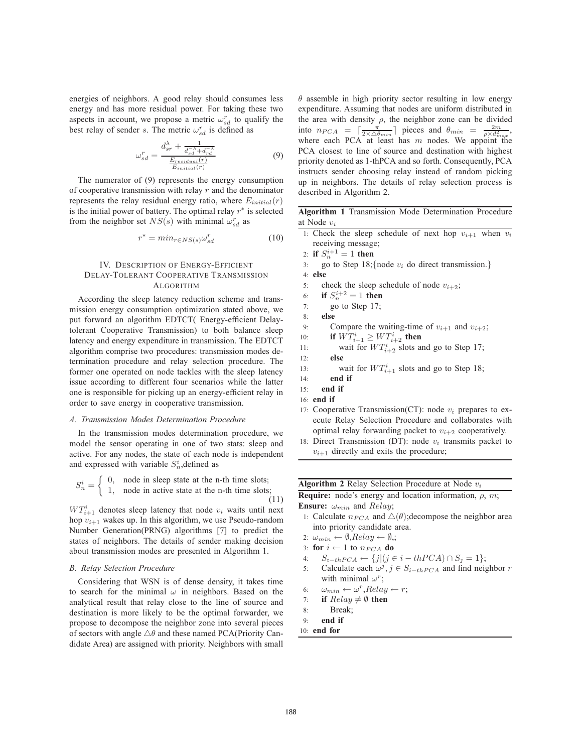energies of neighbors. A good relay should consumes less energy and has more residual power. For taking these two aspects in account, we propose a metric  $\omega_{sd}^r$  to qualify the best relay of sender s. The metric  $\omega_{sd}^r$  is defined as

$$
\omega_{sd}^r = \frac{d_{sr}^{\lambda} + \frac{1}{d_{sd}^{\lambda} + d_{rd}^{\lambda}}}{\frac{E_{residual}(r)}{E_{initial}(r)}}\tag{9}
$$

The numerator of (9) represents the energy consumption of cooperative transmission with relay  $r$  and the denominator represents the relay residual energy ratio, where  $E_{initial}(r)$ is the initial power of battery. The optimal relay  $r^*$  is selected from the neighbor set  $NS(s)$  with minimal  $\omega_{sd}^r$  as

> $r^* = min_{r \in NS(s)} \omega_{sd}^r$  $(10)$

# IV. DESCRIPTION OF ENERGY-EFFICIENT DELAY-TOLERANT COOPERATIVE TRANSMISSION ALGORITHM

According the sleep latency reduction scheme and transmission energy consumption optimization stated above, we put forward an algorithm EDTCT( Energy-efficient Delaytolerant Cooperative Transmission) to both balance sleep latency and energy expenditure in transmission. The EDTCT algorithm comprise two procedures: transmission modes determination procedure and relay selection procedure. The former one operated on node tackles with the sleep latency issue according to different four scenarios while the latter one is responsible for picking up an energy-efficient relay in order to save energy in cooperative transmission.

#### *A. Transmission Modes Determination Procedure*

In the transmission modes determination procedure, we model the sensor operating in one of two stats: sleep and active. For any nodes, the state of each node is independent and expressed with variable  $S_n^i$ , defined as

$$
S_n^i = \begin{cases} 0, & \text{node in sleep state at the n-th time slots;} \\ 1, & \text{node in active state at the n-th time slots;} \end{cases}
$$

(11)

 $WT_{i+1}^i$  denotes sleep latency that node  $v_i$  waits until next<br>hop  $v_i$  wakes up In this algorithm we use Beaudo random hop  $v_{i+1}$  wakes up. In this algorithm, we use Pseudo-random Number Generation(PRNG) algorithms [7] to predict the states of neighbors. The details of sender making decision about transmission modes are presented in Algorithm 1.

# *B. Relay Selection Procedure*

Considering that WSN is of dense density, it takes time to search for the minimal  $\omega$  in neighbors. Based on the analytical result that relay close to the line of source and destination is more likely to be the optimal forwarder, we propose to decompose the neighbor zone into several pieces of sectors with angle  $\triangle \theta$  and these named PCA(Priority Candidate Area) are assigned with priority. Neighbors with small

 $\theta$  assemble in high priority sector resulting in low energy expenditure. Assuming that nodes are uniform distributed in the area with density  $\rho$ , the neighbor zone can be divided into  $n_{PCA} = \left[\frac{r}{2 \times \Delta_{p_{min}}} \right]$  pieces and  $\theta_{min} = \frac{2m}{\rho \times d_{max}}$ ,<br>where each PCA at least has m nodes. We annount the where each PCA at least has  $m$  nodes. We appoint the PCA closest to line of source and destination with highest priority denoted as 1-thPCA and so forth. Consequently, PCA instructs sender choosing relay instead of random picking up in neighbors. The details of relay selection process is described in Algorithm 2.

|               |  | Algorithm 1 Transmission Mode Determination Procedure |  |
|---------------|--|-------------------------------------------------------|--|
| at Node $v_i$ |  |                                                       |  |

- 1: Check the sleep schedule of next hop  $v_{i+1}$  when  $v_i$ receiving message; 2: **if**  $S_n^{i+1} = 1$  **then** 3: go to Step 18; {node  $v_i$  do direct transmission.}
- 4: **else**
- 5: check the sleep schedule of node  $v_{i+2}$ ;<br>6: **if**  $S_n^{i+2} = 1$  **then**
- 6: **if**  $S_n^{i+2} = 1$  **then**
- 7: go to Step 17;
- 8: **else**
- 9: Compare the waiting-time of  $v_{i+1}$  and  $v_{i+2}$ ;<br>10: **if**  $WT_{i+1}^i \geq WT_{i+2}^i$  then
- 10: **if**  $\overline{WT}_{i+1}^i \geq \overline{WT}_{i+2}^i$  then
- 11: wait for  $WT_{i+2}^{i+2}$  slots and go to Step 17;
- 12: **else**
- 13: wait for  $WT_{i+1}^i$  slots and go to Step 18;
- 14: **end if**
- 15: **end if**
- 16: **end if**
- 17: Cooperative Transmission(CT): node  $v_i$  prepares to execute Relay Selection Procedure and collaborates with optimal relay forwarding packet to  $v_{i+2}$  cooperatively.
- 18: Direct Transmission (DT): node  $v_i$  transmits packet to  $v_{i+1}$  directly and exits the procedure;

# **Algorithm 2** Relay Selection Procedure at Node  $v_i$

**Require:** node's energy and location information,  $\rho$ ,  $m$ ; **Ensure:**  $\omega_{min}$  and *Relay*;

- 1: Calculate  $n_{PCA}$  and  $\Delta(\theta)$ ; decompose the neighbor area into priority candidate area.
- 2:  $\omega_{min} \leftarrow \emptyset,$ Relay  $\leftarrow \emptyset,$ ;
- 3: **for**  $i \leftarrow 1$  to  $n_{PCA}$  **do**
- 4:  $S_{i-thPCA} \leftarrow \{j | (j \in i-thPCA) \cap S_j = 1\};$
- 5: Calculate each  $\omega^j$ ,  $j \in S_{i-thPCA}$  and find neighbor r with minimal  $\omega^r$ ;
- 6:  $\omega_{min} \leftarrow \omega^r,$  Relay  $\leftarrow r$ ;
- 7: **if**  $Relay \neq \emptyset$  **then**
- 8: Break;
- 9: **end if**
- 10: **end for**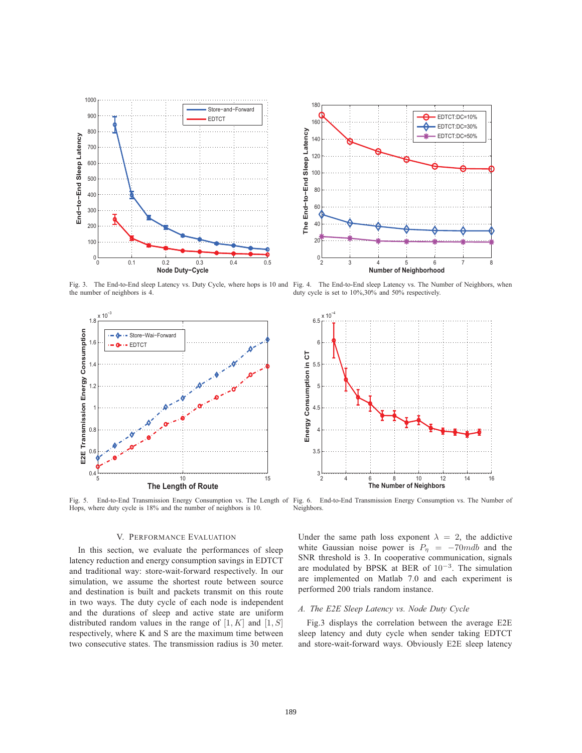

Fig. 3. The End-to-End sleep Latency vs. Duty Cycle, where hops is 10 and Fig. 4. The End-to-End sleep Latency vs. The Number of Neighbors, when the number of neighbors is 4. duty cycle is set to 10%,30% and 50% respectively.



x 10−4 6.5 6 **Energy Consumption in CT** Energy Consumption in CT 5.5 5 4.5 4 3.5 3 2 4 6 8 10 12 14 16 **The Number of Neighbors**

Fig. 5. End-to-End Transmission Energy Consumption vs. The Length of Fig. 6. End-to-End Transmission Energy Consumption vs. The Number of Hops, where duty cycle is 18% and the number of neighbors is 10. Neighbors.

#### V. PERFORMANCE EVALUATION

In this section, we evaluate the performances of sleep latency reduction and energy consumption savings in EDTCT and traditional way: store-wait-forward respectively. In our simulation, we assume the shortest route between source and destination is built and packets transmit on this route in two ways. The duty cycle of each node is independent and the durations of sleep and active state are uniform distributed random values in the range of  $[1, K]$  and  $[1, S]$ respectively, where K and S are the maximum time between two consecutive states. The transmission radius is 30 meter.

Under the same path loss exponent  $\lambda = 2$ , the addictive white Gaussian noise power is  $P_n = -70mdb$  and the SNR threshold is 3. In cooperative communication, signals are modulated by BPSK at BER of 10<sup>−</sup>3. The simulation are implemented on Matlab 7.0 and each experiment is performed 200 trials random instance.

## *A. The E2E Sleep Latency vs. Node Duty Cycle*

Fig.3 displays the correlation between the average E2E sleep latency and duty cycle when sender taking EDTCT and store-wait-forward ways. Obviously E2E sleep latency